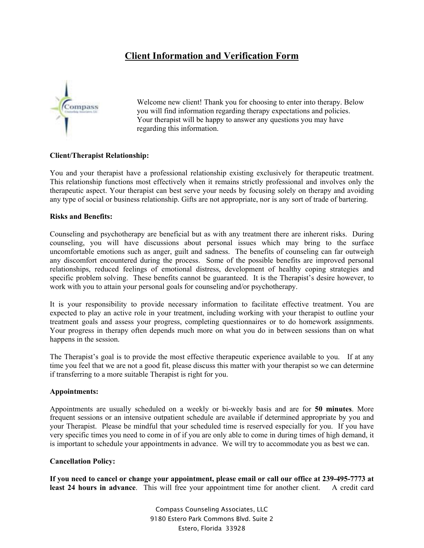# **Client Information and Verification Form**



Welcome new client! Thank you for choosing to enter into therapy. Below you will find information regarding therapy expectations and policies. Your therapist will be happy to answer any questions you may have regarding this information.

# **Client/Therapist Relationship:**

You and your therapist have a professional relationship existing exclusively for therapeutic treatment. This relationship functions most effectively when it remains strictly professional and involves only the therapeutic aspect. Your therapist can best serve your needs by focusing solely on therapy and avoiding any type of social or business relationship. Gifts are not appropriate, nor is any sort of trade of bartering.

# **Risks and Benefits:**

Counseling and psychotherapy are beneficial but as with any treatment there are inherent risks. During counseling, you will have discussions about personal issues which may bring to the surface uncomfortable emotions such as anger, guilt and sadness. The benefits of counseling can far outweigh any discomfort encountered during the process. Some of the possible benefits are improved personal relationships, reduced feelings of emotional distress, development of healthy coping strategies and specific problem solving. These benefits cannot be guaranteed. It is the Therapist's desire however, to work with you to attain your personal goals for counseling and/or psychotherapy.

It is your responsibility to provide necessary information to facilitate effective treatment. You are expected to play an active role in your treatment, including working with your therapist to outline your treatment goals and assess your progress, completing questionnaires or to do homework assignments. Your progress in therapy often depends much more on what you do in between sessions than on what happens in the session.

The Therapist's goal is to provide the most effective therapeutic experience available to you. If at any time you feel that we are not a good fit, please discuss this matter with your therapist so we can determine if transferring to a more suitable Therapist is right for you.

### **Appointments:**

Appointments are usually scheduled on a weekly or bi-weekly basis and are for **50 minutes**. More frequent sessions or an intensive outpatient schedule are available if determined appropriate by you and your Therapist. Please be mindful that your scheduled time is reserved especially for you. If you have very specific times you need to come in of if you are only able to come in during times of high demand, it is important to schedule your appointments in advance. We will try to accommodate you as best we can.

# **Cancellation Policy:**

**If you need to cancel or change your appointment, please email or call our office at 239-495-7773 at least 24 hours in advance**. This will free your appointment time for another client. A credit card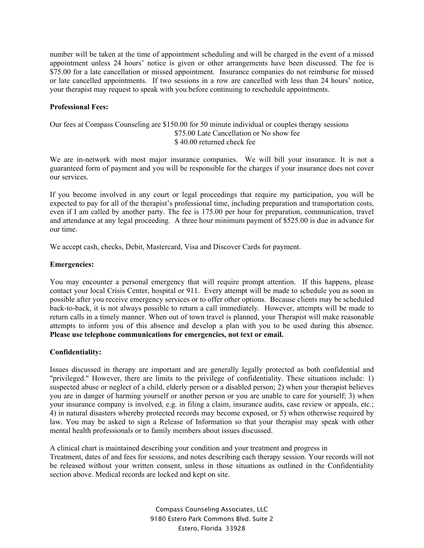number will be taken at the time of appointment scheduling and will be charged in the event of a missed appointment unless 24 hours' notice is given or other arrangements have been discussed. The fee is \$75.00 for a late cancellation or missed appointment. Insurance companies do not reimburse for missed or late cancelled appointments. If two sessions in a row are cancelled with less than 24 hours' notice, your therapist may request to speak with you before continuing to reschedule appointments.

# **Professional Fees:**

# Our fees at Compass Counseling are \$150.00 for 50 minute individual or couples therapy sessions \$75.00 Late Cancellation or No show fee \$ 40.00 returned check fee

We are in-network with most major insurance companies. We will bill your insurance. It is not a guaranteed form of payment and you will be responsible for the charges if your insurance does not cover our services.

If you become involved in any court or legal proceedings that require my participation, you will be expected to pay for all of the therapist's professional time, including preparation and transportation costs, even if I am called by another party. The fee is 175.00 per hour for preparation, communication, travel and attendance at any legal proceeding. A three hour minimum payment of \$525.00 is due in advance for our time.

We accept cash, checks, Debit, Mastercard, Visa and Discover Cards for payment.

## **Emergencies:**

You may encounter a personal emergency that will require prompt attention. If this happens, please contact your local Crisis Center, hospital or 911. Every attempt will be made to schedule you as soon as possible after you receive emergency services or to offer other options. Because clients may be scheduled back-to-back, it is not always possible to return a call immediately. However, attempts will be made to return calls in a timely manner. When out of town travel is planned, your Therapist will make reasonable attempts to inform you of this absence and develop a plan with you to be used during this absence. **Please use telephone communications for emergencies, not text or email.** 

# **Confidentiality:**

Issues discussed in therapy are important and are generally legally protected as both confidential and "privileged." However, there are limits to the privilege of confidentiality. These situations include: 1) suspected abuse or neglect of a child, elderly person or a disabled person; 2) when your therapist believes you are in danger of harming yourself or another person or you are unable to care for yourself; 3) when your insurance company is involved, e.g. in filing a claim, insurance audits, case review or appeals, etc.; 4) in natural disasters whereby protected records may become exposed, or 5) when otherwise required by law. You may be asked to sign a Release of Information so that your therapist may speak with other mental health professionals or to family members about issues discussed.

A clinical chart is maintained describing your condition and your treatment and progress in Treatment, dates of and fees for sessions, and notes describing each therapy session. Your records will not be released without your written consent, unless in those situations as outlined in the Confidentiality section above. Medical records are locked and kept on site.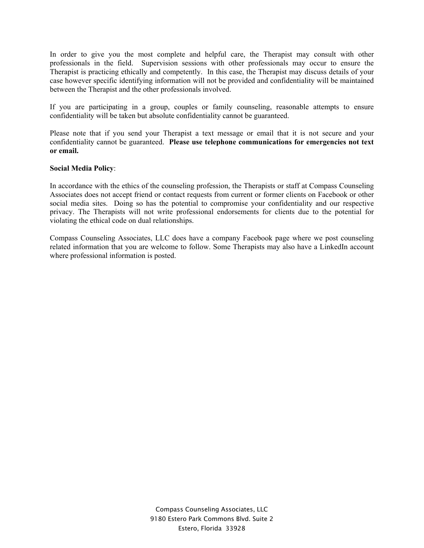In order to give you the most complete and helpful care, the Therapist may consult with other professionals in the field. Supervision sessions with other professionals may occur to ensure the Therapist is practicing ethically and competently. In this case, the Therapist may discuss details of your case however specific identifying information will not be provided and confidentiality will be maintained between the Therapist and the other professionals involved.

If you are participating in a group, couples or family counseling, reasonable attempts to ensure confidentiality will be taken but absolute confidentiality cannot be guaranteed.

Please note that if you send your Therapist a text message or email that it is not secure and your confidentiality cannot be guaranteed. **Please use telephone communications for emergencies not text or email.** 

## **Social Media Policy**:

In accordance with the ethics of the counseling profession, the Therapists or staff at Compass Counseling Associates does not accept friend or contact requests from current or former clients on Facebook or other social media sites. Doing so has the potential to compromise your confidentiality and our respective privacy. The Therapists will not write professional endorsements for clients due to the potential for violating the ethical code on dual relationships.

Compass Counseling Associates, LLC does have a company Facebook page where we post counseling related information that you are welcome to follow. Some Therapists may also have a LinkedIn account where professional information is posted.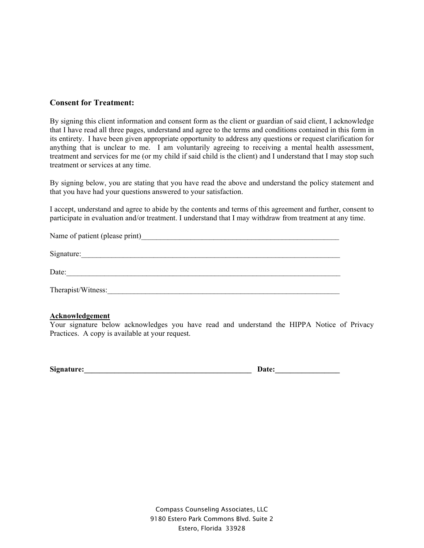# **Consent for Treatment:**

By signing this client information and consent form as the client or guardian of said client, I acknowledge that I have read all three pages, understand and agree to the terms and conditions contained in this form in its entirety. I have been given appropriate opportunity to address any questions or request clarification for anything that is unclear to me. I am voluntarily agreeing to receiving a mental health assessment, treatment and services for me (or my child if said child is the client) and I understand that I may stop such treatment or services at any time.

By signing below, you are stating that you have read the above and understand the policy statement and that you have had your questions answered to your satisfaction.

I accept, understand and agree to abide by the contents and terms of this agreement and further, consent to participate in evaluation and/or treatment. I understand that I may withdraw from treatment at any time.

| Name of patient (please print) |
|--------------------------------|
| Signature:                     |
| Date:                          |
| Therapist/Witness:             |

# **Acknowledgement**

Your signature below acknowledges you have read and understand the HIPPA Notice of Privacy Practices. A copy is available at your request.

Signature: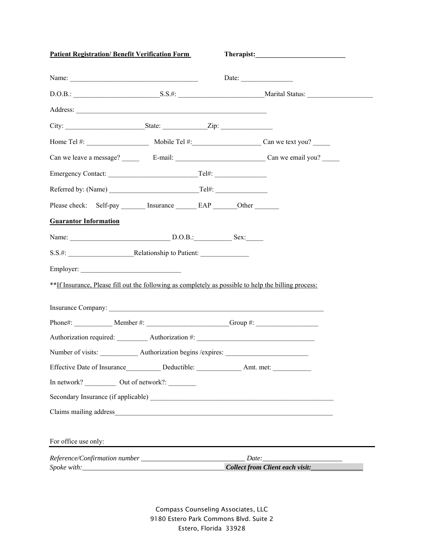| <b>Patient Registration/ Benefit Verification Form</b>                                               |  |  |                                       |
|------------------------------------------------------------------------------------------------------|--|--|---------------------------------------|
|                                                                                                      |  |  | Date: $\qquad \qquad$                 |
|                                                                                                      |  |  | D.O.B.: S.S.#: S.S.#: Marital Status: |
| Address:                                                                                             |  |  |                                       |
| City: State: Zip:                                                                                    |  |  |                                       |
|                                                                                                      |  |  |                                       |
|                                                                                                      |  |  |                                       |
|                                                                                                      |  |  |                                       |
|                                                                                                      |  |  |                                       |
| Please check: Self-pay _______ Insurance _______ EAP _______ Other _______                           |  |  |                                       |
| <b>Guarantor Information</b>                                                                         |  |  |                                       |
|                                                                                                      |  |  |                                       |
|                                                                                                      |  |  |                                       |
|                                                                                                      |  |  |                                       |
| **If Insurance, Please fill out the following as completely as possible to help the billing process: |  |  |                                       |
|                                                                                                      |  |  |                                       |
| Insurance Company:                                                                                   |  |  |                                       |
| Authorization required: ___________ Authorization #: ___________________________                     |  |  |                                       |
| Number of visits: _____________ Authorization begins /expires: __________________                    |  |  |                                       |
|                                                                                                      |  |  |                                       |
| In network? _____________ Out of network?: __________                                                |  |  |                                       |
|                                                                                                      |  |  |                                       |
|                                                                                                      |  |  |                                       |
|                                                                                                      |  |  |                                       |
| For office use only:                                                                                 |  |  |                                       |
|                                                                                                      |  |  |                                       |
|                                                                                                      |  |  | Collect from Client each visit:       |